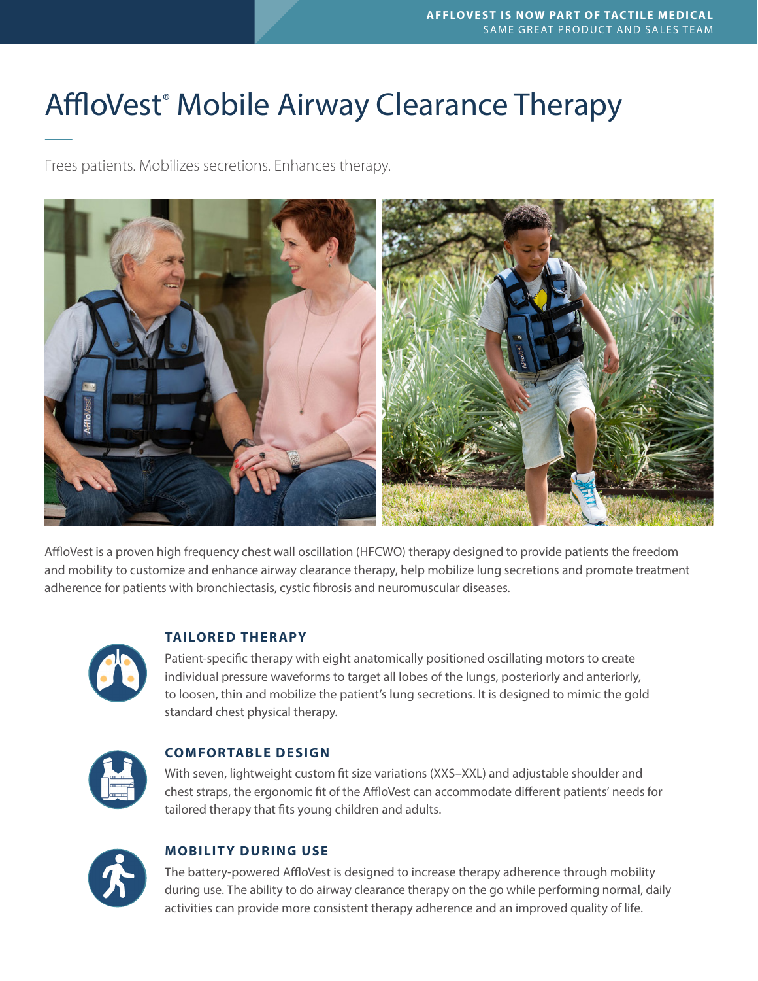# AffloVest<sup>®</sup> Mobile Airway Clearance Therapy

Frees patients. Mobilizes secretions. Enhances therapy.



AffloVest is a proven high frequency chest wall oscillation (HFCWO) therapy designed to provide patients the freedom and mobility to customize and enhance airway clearance therapy, help mobilize lung secretions and promote treatment adherence for patients with bronchiectasis, cystic fibrosis and neuromuscular diseases.



# **TAILORED THER APY**

Patient-specific therapy with eight anatomically positioned oscillating motors to create individual pressure waveforms to target all lobes of the lungs, posteriorly and anteriorly, to loosen, thin and mobilize the patient's lung secretions. It is designed to mimic the gold standard chest physical therapy.



## **COMFORTABLE DESIGN**

With seven, lightweight custom fit size variations (XXS–XXL) and adjustable shoulder and chest straps, the ergonomic fit of the AffloVest can accommodate different patients' needs for tailored therapy that fits young children and adults.



## **MOBILITY DURING USE**

The battery-powered AffloVest is designed to increase therapy adherence through mobility during use. The ability to do airway clearance therapy on the go while performing normal, daily activities can provide more consistent therapy adherence and an improved quality of life.